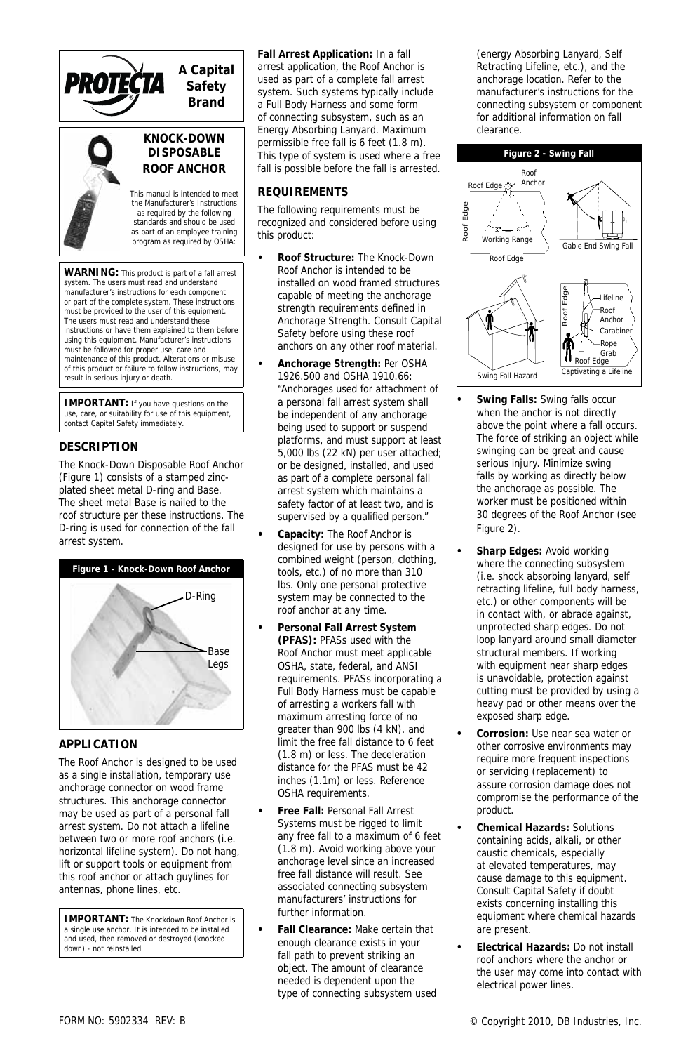#### **A Capital**  PROTEČTA **Safety Brand**



*KNOCK-DOWN DISPOSABLE ROOF ANCHOR*

*This manual is intended to meet the Manufacturer's Instructions as required by the following standards and should be used as part of an employee training program as required by OSH*A:

*WARNING: This product is part of a fall arrest system. The users must read and understand manufacturer's instructions for each component or part of the complete system. These instructions must be provided to the user of this equipment. The users must read and understand these instructions or have them explained to them before using this equipment. Manufacturer's instructions must be followed for proper use, care and maintenance of this product. Alterations or misuse of this product or failure to follow instructions, may result in serious injury or death.*

*IMPORTANT: If you have questions on the use, care, or suitability for use of this equipment, contact Capital Safety immediately.*

## *DESCRIPTION*

The Knock-Down Disposable Roof Anchor (Figure 1) consists of a stamped zincplated sheet metal D-ring and Base. The sheet metal Base is nailed to the roof structure per these instructions. The D-ring is used for connection of the fall arrest system.



# *APPLICATION*

The Roof Anchor is designed to be used as a single installation, temporary use anchorage connector on wood frame structures. This anchorage connector may be used as part of a personal fall arrest system. Do not attach a lifeline between two or more roof anchors (i.e. horizontal lifeline system). Do not hang, lift or support tools or equipment from this roof anchor or attach guylines for antennas, phone lines, etc.

*IMPORTANT: The Knockdown Roof Anchor is a single use anchor. It is intended to be installed and used, then removed or destroyed (knocked down) - not reinstalled.*

**Fall Arrest Application:** In a fall arrest application, the Roof Anchor is used as part of a complete fall arrest system. Such systems typically include a Full Body Harness and some form of connecting subsystem, such as an Energy Absorbing Lanyard. Maximum permissible free fall is 6 feet (1.8 m). This type of system is used where a free fall is possible before the fall is arrested.

## *REQUIREMENTS*

The following requirements must be recognized and considered before using this product:

- **Roof Structure:** The Knock-Down Roof Anchor is intended to be installed on wood framed structures capable of meeting the anchorage strength requirements defined in *Anchorage Strength*. Consult Capital Safety before using these roof anchors on any other roof material.
- **Anchorage Strength:** Per OSHA 1926.500 and OSHA 1910.66: "Anchorages used for attachment of a personal fall arrest system shall be independent of any anchorage being used to support or suspend platforms, and must support at least 5,000 lbs (22 kN) per user attached; or be designed, installed, and used as part of a complete personal fall arrest system which maintains a safety factor of at least two, and is supervised by a qualified person."
- **Capacity:** The Roof Anchor is designed for use by persons with a combined weight (person, clothing, tools, etc.) of no more than 310 lbs. Only one personal protective system may be connected to the roof anchor at any time.
- **Personal Fall Arrest System (PFAS):** PFASs used with the Roof Anchor must meet applicable OSHA, state, federal, and ANSI requirements. PFASs incorporating a Full Body Harness must be capable of arresting a workers fall with maximum arresting force of no greater than 900 lbs (4 kN). and limit the free fall distance to 6 feet (1.8 m) or less. The deceleration distance for the PFAS must be 42 inches (1.1m) or less. Reference OSHA requirements.
- **Free Fall:** Personal Fall Arrest Systems must be rigged to limit any free fall to a maximum of 6 feet (1.8 m). Avoid working above your anchorage level since an increased free fall distance will result. See associated connecting subsystem manufacturers' instructions for further information.
- **Fall Clearance:** Make certain that enough clearance exists in your fall path to prevent striking an object. The amount of clearance needed is dependent upon the type of connecting subsystem used

(energy Absorbing Lanyard, Self Retracting Lifeline, etc.), and the anchorage location. Refer to the manufacturer's instructions for the connecting subsystem or component for additional information on fall clearance.



- **Swing Falls:** Swing falls occur when the anchor is not directly above the point where a fall occurs. The force of striking an object while swinging can be great and cause serious injury. Minimize swing falls by working as directly below the anchorage as possible. The worker must be positioned within 30 degrees of the Roof Anchor (see Figure 2).
- **Sharp Edges:** Avoid working where the connecting subsystem (i.e. shock absorbing lanyard, self retracting lifeline, full body harness, etc.) or other components will be in contact with, or abrade against, unprotected sharp edges. Do not loop lanyard around small diameter structural members. If working with equipment near sharp edges is unavoidable, protection against cutting must be provided by using a heavy pad or other means over the exposed sharp edge.
- **Corrosion:** Use near sea water or other corrosive environments may require more frequent inspections or servicing (replacement) to assure corrosion damage does not compromise the performance of the product.
- **Chemical Hazards:** Solutions containing acids, alkali, or other caustic chemicals, especially at elevated temperatures, may cause damage to this equipment. Consult Capital Safety if doubt exists concerning installing this equipment where chemical hazards are present.
- **Electrical Hazards:** Do not install roof anchors where the anchor or the user may come into contact with electrical power lines.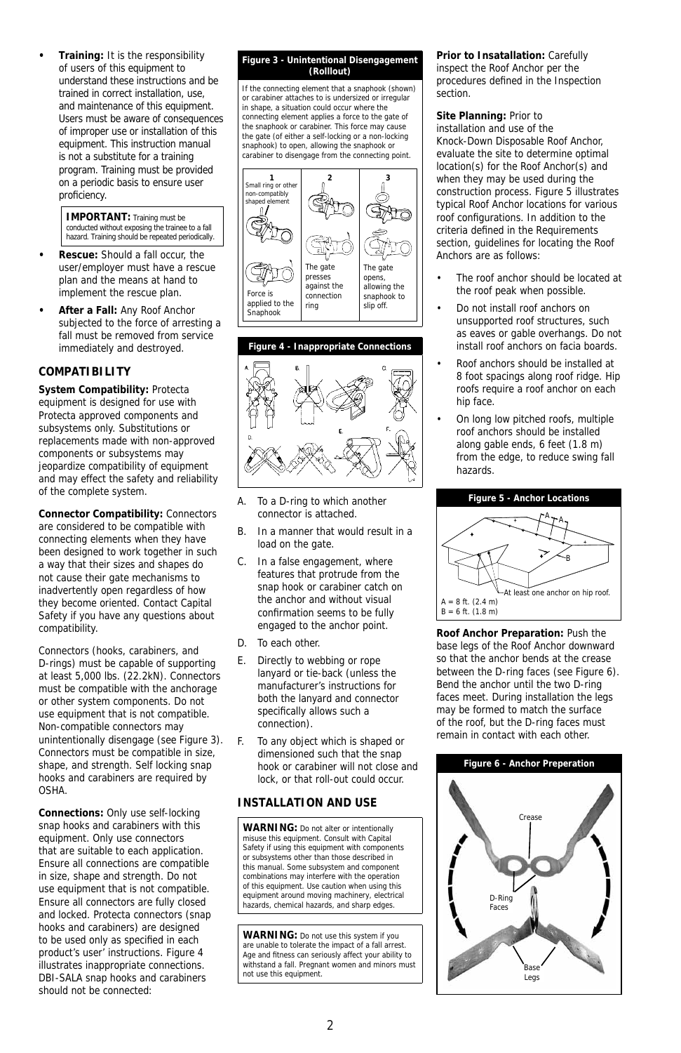**• Training:** It is the responsibility of users of this equipment to understand these instructions and be trained in correct installation, use, and maintenance of this equipment. Users must be aware of consequences of improper use or installation of this equipment. This instruction manual is not a substitute for a training program. Training must be provided on a periodic basis to ensure user proficiency.

*IMPORTANT: Training must be conducted without exposing the trainee to a fall hazard. Training should be repeated periodically.*

- **Rescue:** Should a fall occur, the user/employer must have a rescue plan and the means at hand to implement the rescue plan.
- **After a Fall:** Any Roof Anchor subjected to the force of arresting a fall must be removed from service immediately and destroyed.

## *COMPATIBILITY*

**System Compatibility:** Protecta equipment is designed for use with Protecta approved components and subsystems only. Substitutions or replacements made with non-approved components or subsystems may jeopardize compatibility of equipment and may effect the safety and reliability of the complete system.

**Connector Compatibility:** Connectors are considered to be compatible with connecting elements when they have been designed to work together in such a way that their sizes and shapes do not cause their gate mechanisms to inadvertently open regardless of how they become oriented. Contact Capital Safety if you have any questions about compatibility.

Connectors (hooks, carabiners, and D-rings) must be capable of supporting at least 5,000 lbs. (22.2kN). Connectors must be compatible with the anchorage or other system components. Do not use equipment that is not compatible. Non-compatible connectors may unintentionally disengage (see Figure 3). Connectors must be compatible in size, shape, and strength. Self locking snap hooks and carabiners are required by OSHA.

**Connections:** Only use self-locking snap hooks and carabiners with this equipment. Only use connectors that are suitable to each application. Ensure all connections are compatible in size, shape and strength. Do not use equipment that is not compatible. Ensure all connectors are fully closed and locked. Protecta connectors (snap hooks and carabiners) are designed to be used only as specified in each product's user' instructions. Figure 4 illustrates inappropriate connections. DBI-SALA snap hooks and carabiners should not be connected:

#### **Figure 3 - Unintentional Disengagement (Rolllout)**

If the connecting element that a snaphook (shown) or carabiner attaches to is undersized or irregular in shape, a situation could occur where the connecting element applies a force to the gate of the snaphook or carabiner. This force may cause the gate (of either a self-locking or a non-locking snaphook) to open, allowing the snaphook or carabiner to disengage from the connecting point.





- A. To a D-ring to which another connector is attached.
- B. In a manner that would result in a load on the gate.
- C. In a false engagement, where features that protrude from the snap hook or carabiner catch on the anchor and without visual confirmation seems to be fully engaged to the anchor point.
- D. To each other.
- E. Directly to webbing or rope lanyard or tie-back (unless the manufacturer's instructions for both the lanyard and connector specifically allows such a connection).
- F. To any object which is shaped or dimensioned such that the snap hook or carabiner will not close and lock, or that roll-out could occur.

### *INSTALLATION AND USE*

*WARNING: Do not alter or intentionally misuse this equipment. Consult with Capital Safety if using this equipment with components or subsystems other than those described in this manual. Some subsystem and component combinations may interfere with the operation of this equipment. Use caution when using this equipment around moving machinery, electrical hazards, chemical hazards, and sharp edges.*

*WARNING: Do not use this system if you are unable to tolerate the impact of a fall arrest. Age and fi tness can seriously affect your ability to withstand a fall. Pregnant women and minors must not use this equipment.*

**Prior to Insatallation:** Carefully inspect the Roof Anchor per the procedures defined in the *Inspection* section.

**Site Planning:** Prior to installation and use of the Knock-Down Disposable Roof Anchor, evaluate the site to determine optimal location(s) for the Roof Anchor(s) and when they may be used during the construction process. Figure 5 illustrates typical Roof Anchor locations for various roof configurations. In addition to the criteria defined in the *Requirements* section, guidelines for locating the Roof Anchors are as follows:

- The roof anchor should be located at the roof peak when possible.
- Do not install roof anchors on unsupported roof structures, such as eaves or gable overhangs. Do not install roof anchors on facia boards.
- Roof anchors should be installed at 8 foot spacings along roof ridge. Hip roofs require a roof anchor on each hip face.
- On long low pitched roofs, multiple roof anchors should be installed along gable ends, 6 feet (1.8 m) from the edge, to reduce swing fall hazards.



**Roof Anchor Preparation:** Push the base legs of the Roof Anchor downward so that the anchor bends at the crease between the D-ring faces (see Figure 6). Bend the anchor until the two D-ring faces meet. During installation the legs may be formed to match the surface of the roof, but the D-ring faces must remain in contact with each other.

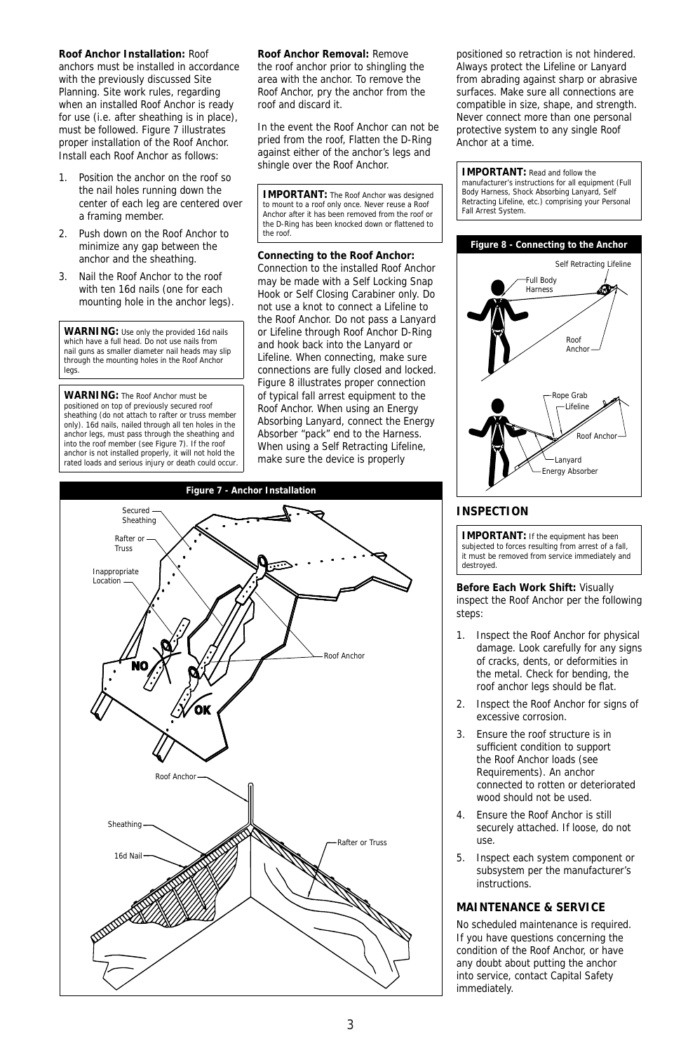**Roof Anchor Installation:** Roof anchors must be installed in accordance with the previously discussed *Site Planning*. Site work rules, regarding when an installed Roof Anchor is ready for use (i.e. after sheathing is in place), must be followed. Figure 7 illustrates proper installation of the Roof Anchor. Install each Roof Anchor as follows:

- Position the anchor on the roof so the nail holes running down the center of each leg are centered over a framing member.
- 2. Push down on the Roof Anchor to minimize any gap between the anchor and the sheathing.
- 3. Nail the Roof Anchor to the roof with ten 16d nails (one for each mounting hole in the anchor legs).

*WARNING: Use only the provided 16d nails which have a full head. Do not use nails from nail guns as smaller diameter nail heads may slip through the mounting holes in the Roof Anchor legs.*

*WARNING: The Roof Anchor must be positioned on top of previously secured roof sheathing (do not attach to rafter or truss member only). 16d nails, nailed through all ten holes in the anchor legs, must pass through the sheathing and into the roof member (see Figure 7). If the roof anchor is not installed properly, it will not hold the rated loads and serious injury or death could occur.* **Roof Anchor Removal:** Remove the roof anchor prior to shingling the area with the anchor. To remove the Roof Anchor, pry the anchor from the roof and discard it.

In the event the Roof Anchor can not be pried from the roof, Flatten the D-Ring against either of the anchor's legs and shingle over the Roof Anchor.

*IMPORTANT: The Roof Anchor was designed to mount to a roof only once. Never reuse a Roof Anchor after it has been removed from the roof or*  the D-Ring has been knocked down or flattened to *the roof.*

### **Connecting to the Roof Anchor:**

Connection to the installed Roof Anchor may be made with a Self Locking Snap Hook or Self Closing Carabiner only. Do not use a knot to connect a Lifeline to the Roof Anchor. Do not pass a Lanyard or Lifeline through Roof Anchor D-Ring and hook back into the Lanyard or Lifeline. When connecting, make sure connections are fully closed and locked. Figure 8 illustrates proper connection of typical fall arrest equipment to the Roof Anchor. When using an Energy Absorbing Lanyard, connect the Energy Absorber "pack" end to the Harness. When using a Self Retracting Lifeline, make sure the device is properly



positioned so retraction is not hindered. Always protect the Lifeline or Lanyard from abrading against sharp or abrasive surfaces. Make sure all connections are compatible in size, shape, and strength. Never connect more than one personal protective system to any single Roof Anchor at a time.

#### *IMPORTANT: Read and follow the*

*manufacturer's instructions for all equipment (Full Body Harness, Shock Absorbing Lanyard, Self Retracting Lifeline, etc.) comprising your Personal Fall Arrest System.*



## *INSPECTION*

*IMPORTANT: If the equipment has been subjected to forces resulting from arrest of a fall, it must be removed from service immediately and destroyed.*

#### **Before Each Work Shift:** Visually inspect the Roof Anchor per the following steps:

- 1. Inspect the Roof Anchor for physical damage. Look carefully for any signs of cracks, dents, or deformities in the metal. Check for bending, the roof anchor legs should be flat.
- 2. Inspect the Roof Anchor for signs of excessive corrosion.
- 3. Ensure the roof structure is in sufficient condition to support the Roof Anchor loads (see *Requirements*). An anchor connected to rotten or deteriorated wood should not be used.
- 4. Ensure the Roof Anchor is still securely attached. If loose, do not use.
- 5. Inspect each system component or subsystem per the manufacturer's instructions.

## *MAINTENANCE & SERVICE*

No scheduled maintenance is required. If you have questions concerning the condition of the Roof Anchor, or have any doubt about putting the anchor into service, contact Capital Safety immediately.